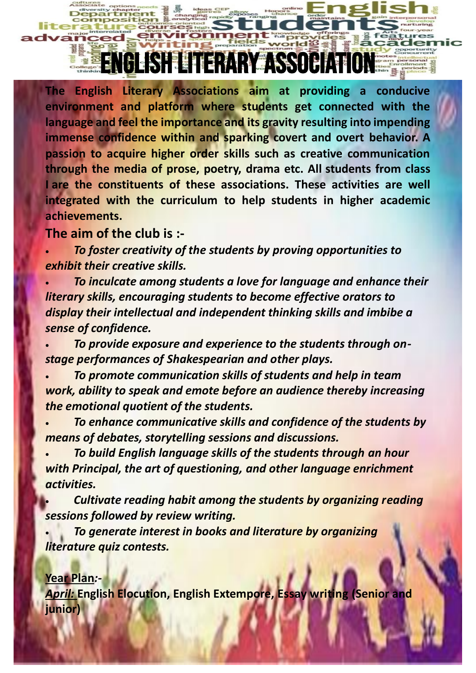**The English Literary Associations aim at providing a conducive environment and platform where students get connected with the language and feel the importance and its gravity resulting into impending immense confidence within and sparking covert and overt behavior. A passion to acquire higher order skills such as creative communication through the media of prose, poetry, drama etc. All students from class I are the constituents of these associations. These activities are well integrated with the curriculum to help students in higher academic achievements.**

SHEITERARY ASSOCIAT

**The aim of the club is :-**

• *To foster creativity of the students by proving opportunities to exhibit their creative skills.*

• *To inculcate among students a love for language and enhance their literary skills, encouraging students to become effective orators to display their intellectual and independent thinking skills and imbibe a sense of confidence.*

• *To provide exposure and experience to the students through onstage performances of Shakespearian and other plays.*

- *To promote communication skills of students and help in team work, ability to speak and emote before an audience thereby increasing the emotional quotient of the students.*
- *To enhance communicative skills and confidence of the students by means of debates, storytelling sessions and discussions.*

• *To build English language skills of the students through an hour with Principal, the art of questioning, and other language enrichment activities.*

• *Cultivate reading habit among the students by organizing reading sessions followed by review writing.*

• *To generate interest in books and literature by organizing literature quiz contests.*

## **Year Plan***:-*

*April:* **English Elocution, English Extempore, Essay writing (Senior and junior)**